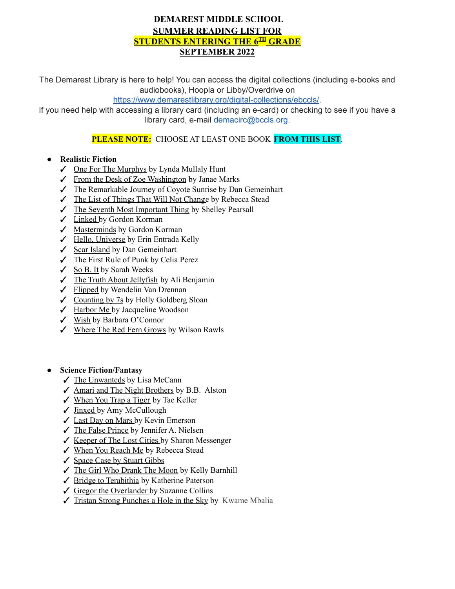## **DEMAREST MIDDLE SCHOOL SUMMER READING LIST FOR STUDENTS ENTERING THE 6TH GRADE SEPTEMBER 2022**

The Demarest Library is here to help! You can access the digital collections (including e-books and audiobooks), Hoopla or Libby/Overdrive on

[https://www.demarestlibrary.org/digital-collections/ebccls/.](https://www.demarestlibrary.org/digital-collections/ebccls/)

If you need help with accessing a library card (including an e-card) or checking to see if you have a library card, e-mail demacirc@bccls.org.

# **PLEASE NOTE:** CHOOSE AT LEAST ONE BOOK **FROM THIS LIST**.

### **● Realistic Fiction**

- ✓ One For The Murphys by Lynda Mullaly Hunt
- ✓ From the Desk of Zoe Washington by Janae Marks
- ✓ The Remarkable Journey of Coyote Sunrise by Dan Gemeinhart
- ✓ The List of Things That Will Not Change by Rebecca Stead
- ✓ The Seventh Most Important Thing by Shelley Pearsall
- ✓ Linked by Gordon Korman
- ✓ Masterminds by Gordon Korman
- ✓ Hello, Universe by Erin Entrada Kelly
- ✓ Scar Island by Dan Gemeinhart
- ✓ The First Rule of Punk by Celia Perez
- $\angle$  So B. It by Sarah Weeks
- ✓ The Truth About Jellyfish by Ali Benjamin
- ✓ Flipped by Wendelin Van Drennan
- ✓ Counting by 7s by Holly Goldberg Sloan
- ✓ Harbor Me by Jacqueline Woodson
- ✓ Wish by Barbara O'Connor
- ✓ Where The Red Fern Grows by Wilson Rawls
- **● Science Fiction/Fantasy**
	- ✓ The Unwanteds by Lisa McCann
	- ✓ Amari and The Night Brothers by B.B. Alston
	- ✓ When You Trap a Tiger by Tae Keller
	- ✓ Jinxed by Amy McCullough
	- ✓ Last Day on Mars by Kevin Emerson
	- ✓ The False Prince by Jennifer A. Nielsen
	- ✓ Keeper of The Lost Cities by Sharon Messenger
	- ✓ When You Reach Me by Rebecca Stead
	- ✓ Space Case by Stuart Gibbs
	- ✓ The Girl Who Drank The Moon by Kelly Barnhill
	- ✓ Bridge to Terabithia by Katherine Paterson
	- ✓ Gregor the Overlander by Suzanne Collins
	- ✓ Tristan Strong Punches a Hole in the Sky by Kwame Mbalia